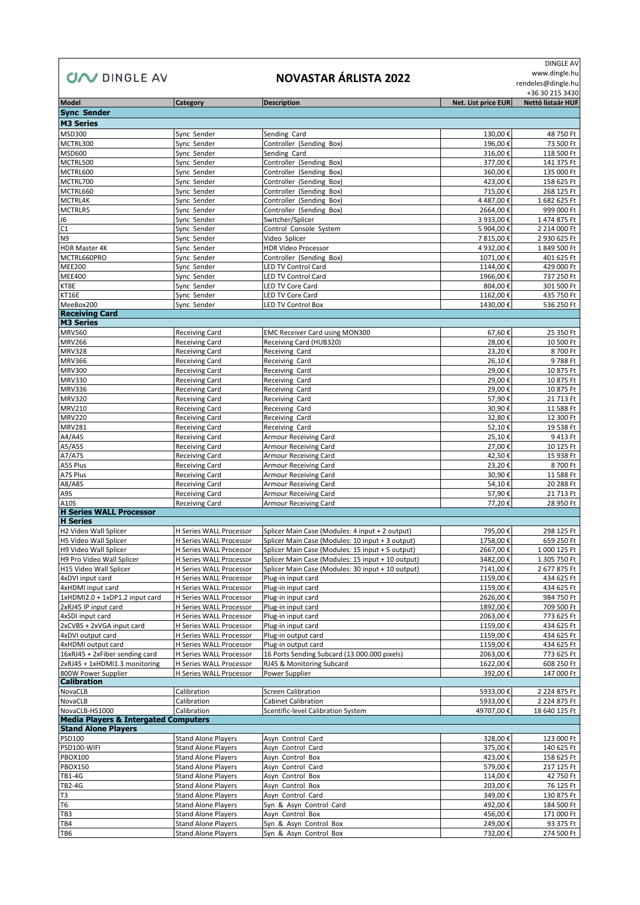## **CIAV** DINGLE AV

## **NOVASTAR ÁRLISTA 2022**

 DINGLE AV www.dingle.hu

rendeles@dingle.hu

+36 30 215 3430

| Model                                           | <b>Category</b>                | <b>Description</b>                                | Net. List price EUR | Nettó listaár HUF |
|-------------------------------------------------|--------------------------------|---------------------------------------------------|---------------------|-------------------|
| <b>Sync Sender</b>                              |                                |                                                   |                     |                   |
| <b>M3 Series</b>                                |                                |                                                   |                     |                   |
| MSD300                                          | Sync Sender                    | Sending Card                                      | 130,00€             | 48 750 Ft         |
| MCTRL300                                        | Sync Sender                    | Controller (Sending Box)                          | 196,00€             | 73 500 Ft         |
| <b>MSD600</b>                                   | Sync Sender                    | Sending Card                                      | 316,00€             |                   |
|                                                 |                                | Controller (Sending Box)                          |                     | 118 500 Ft        |
| MCTRL500                                        | Sync Sender                    |                                                   | 377,00€             | 141 375 Ft        |
| MCTRL600                                        | Sync Sender                    | Controller (Sending Box)                          | 360,00€             | 135 000 Ft        |
| MCTRL700                                        | Sync Sender                    | Controller (Sending Box)                          | 423,00€             | 158 625 Ft        |
| MCTRL660                                        | Sync Sender                    | Controller (Sending Box)                          | 715,00€             | 268 125 Ft        |
| MCTRL4K                                         | Sync Sender                    | Controller (Sending Box)                          | 4 487,00€           | 1 682 625 Ft      |
| MCTRLR5                                         | Sync Sender                    | Controller (Sending Box)                          | 2664,00€            | 999 000 Ft        |
| J6                                              | Sync Sender                    | Switcher/Splicer                                  | 3 933,00€           | 1474 875 Ft       |
| C1                                              | Sync Sender                    | Control Console System                            | 5 904,00€           | 2 214 000 Ft      |
| N <sub>9</sub>                                  | Sync Sender                    | Video Splicer                                     | 7815,00€            | 2 930 625 Ft      |
| HDR Master 4K                                   | Sync Sender                    | <b>HDR Video Processor</b>                        | 4 932,00€           | 1 849 500 Ft      |
| MCTRL660PRO                                     | Sync Sender                    | Controller (Sending Box)                          | 1071,00€            | 401 625 Ft        |
| <b>MEE200</b>                                   | Sync Sender                    | <b>LED TV Control Card</b>                        | 1144,00€            | 429 000 Ft        |
| <b>MEE400</b>                                   | Sync Sender                    | LED TV Control Card                               | 1966,00€            | 737 250 Ft        |
| KT8E                                            | Sync Sender                    | <b>LED TV Core Card</b>                           | 804,00€             | 301 500 Ft        |
|                                                 |                                |                                                   |                     |                   |
| KT16E                                           | Sync Sender                    | LED TV Core Card                                  | 1162,00€            | 435 750 Ft        |
| MeeBox200                                       | Sync Sender                    | <b>LED TV Control Box</b>                         | 1430,00€            | 536 250 Ft        |
| <b>Receiving Card</b>                           |                                |                                                   |                     |                   |
| <b>M3 Series</b>                                |                                |                                                   |                     |                   |
| <b>MRV560</b>                                   | <b>Receiving Card</b>          | <b>EMC Receiver Card using MON300</b>             | 67,60€              | 25 350 Ft         |
| <b>MRV266</b>                                   | <b>Receiving Card</b>          | Receiving Card (HUB320)                           | 28,00€              | 10 500 Ft         |
| <b>MRV328</b>                                   | <b>Receiving Card</b>          | Receiving Card                                    | 23,20€              | 8700 Ft           |
| <b>MRV366</b>                                   | <b>Receiving Card</b>          | Receiving Card                                    | 26,10€              | 9788 Ft           |
| <b>MRV300</b>                                   | <b>Receiving Card</b>          | Receiving Card                                    | 29,00€              | 10 875 Ft         |
| MRV330                                          | <b>Receiving Card</b>          | Receiving Card                                    | 29,00€              | 10 875 Ft         |
| <b>MRV336</b>                                   | <b>Receiving Card</b>          | Receiving Card                                    | 29,00€              | 10 875 Ft         |
| <b>MRV320</b>                                   | <b>Receiving Card</b>          | Receiving Card                                    | 57,90€              | 21 713 Ft         |
| <b>MRV210</b>                                   | <b>Receiving Card</b>          | Receiving Card                                    | 30,90€              | 11 588 Ft         |
| <b>MRV220</b>                                   | <b>Receiving Card</b>          | Receiving Card                                    | 32,80€              | 12 300 Ft         |
|                                                 |                                |                                                   |                     |                   |
| <b>MRV281</b>                                   | <b>Receiving Card</b>          | Receiving Card                                    | 52,10€              | 19 538 Ft         |
| A4/A4S                                          | <b>Receiving Card</b>          | <b>Armour Receiving Card</b>                      | 25,10€              | 9413 Ft           |
| A5/A5S                                          | <b>Receiving Card</b>          | Armour Receiving Card                             | 27,00€              | 10 125 Ft         |
| A7/A7S                                          | <b>Receiving Card</b>          | Armour Receiving Card                             | 42,50€              | 15 938 Ft         |
| A5S Plus                                        | <b>Receiving Card</b>          | <b>Armour Receiving Card</b>                      | 23,20€              | 8700 Ft           |
| A7S Plus                                        | <b>Receiving Card</b>          | Armour Receiving Card                             | 30,90€              | 11 588 Ft         |
| A8/A8S                                          | <b>Receiving Card</b>          | Armour Receiving Card                             | 54,10€              | 20 288 Ft         |
| A9S                                             | <b>Receiving Card</b>          | Armour Receiving Card                             | 57,90€              | 21 713 Ft         |
| A10S                                            | <b>Receiving Card</b>          | Armour Receiving Card                             | 77,20€              | 28 950 Ft         |
| <b>H Series WALL Processor</b>                  |                                |                                                   |                     |                   |
| <b>H</b> Series                                 |                                |                                                   |                     |                   |
| H2 Video Wall Splicer                           | <b>H Series WALL Processor</b> | Splicer Main Case (Modules: 4 input + 2 output)   | 795,00€             | 298 125 Ft        |
|                                                 |                                |                                                   |                     |                   |
| H5 Video Wall Splicer                           | H Series WALL Processor        | Splicer Main Case (Modules: 10 input + 3 output)  | 1758,00€            | 659 250 Ft        |
| H9 Video Wall Splicer                           | H Series WALL Processor        | Splicer Main Case (Modules: 15 input + 5 output)  | 2667,00€            | 1 000 125 Ft      |
| H9 Pro Video Wall Splicer                       | <b>H Series WALL Processor</b> | Splicer Main Case (Modules: 15 input + 10 output) | 3482,00€            | 1 305 750 Ft      |
| H15 Video Wall Splicer                          | H Series WALL Processor        | Splicer Main Case (Modules: 30 input + 10 output) | 7141,00€            | 2 677 875 Ft      |
| 4xDVI input card                                | H Series WALL Processor        | Plug-in input card                                | 1159,00€            | 434 625 Ft        |
| 4xHDMI input card                               | <b>H Series WALL Processor</b> | Plug-in input card                                | 1159,00€            | 434 625 Ft        |
| 1xHDMI2.0 + 1xDP1.2 input card                  | H Series WALL Processor        | Plug-in input card                                | 2626,00€            | 984 750 Ft        |
| 2xRJ45 IP input card                            | <b>H Series WALL Processor</b> | Plug-in input card                                | 1892,00€            | 709 500 Ft        |
| 4xSDI input card                                | H Series WALL Processor        | Plug-in input card                                | 2063,00€            | 773 625 Ft        |
| 2xCVBS + 2xVGA input card                       | <b>H Series WALL Processor</b> | Plug-in input card                                | 1159,00€            | 434 625 Ft        |
| 4xDVI output card                               | H Series WALL Processor        | Plug-in output card                               | 1159,00€            | 434 625 Ft        |
| 4xHDMI output card                              | <b>H Series WALL Processor</b> | Plug-in output card                               | 1159,00€            | 434 625 Ft        |
| 16xRJ45 + 2xFiber sending card                  | H Series WALL Processor        | 16 Ports Sending Subcard (13.000.000 pixels)      | 2063,00€            | 773 625 Ft        |
|                                                 |                                |                                                   |                     |                   |
| 2xRJ45 + 1xHDMI1.3 monitoring                   | <b>H Series WALL Processor</b> | RJ45 & Monitoring Subcard                         | 1622,00€            | 608 250 Ft        |
| 800W Power Supplier                             | <b>H Series WALL Processor</b> | Power Supplier                                    | 392,00€             | 147 000 Ft        |
| <b>Calibration</b>                              |                                |                                                   |                     |                   |
| NovaCLB                                         | Calibration                    | <b>Screen Calibration</b>                         | 5933,00€            | 2 224 875 Ft      |
| NovaCLB                                         | Calibration                    | <b>Cabinet Calibration</b>                        | 5933,00€            | 2 224 875 Ft      |
| NovaCLB-HS1000                                  | Calibration                    | Scentific-level Calibration System                | 49707,00€           | 18 640 125 Ft     |
| <b>Media Players &amp; Intergated Computers</b> |                                |                                                   |                     |                   |
| <b>Stand Alone Players</b>                      |                                |                                                   |                     |                   |
| PSD100                                          | <b>Stand Alone Players</b>     | Asyn Control Card                                 | 328,00€             | 123 000 Ft        |
| PSD100-WIFI                                     | <b>Stand Alone Players</b>     | Asyn Control Card                                 | 375,00€             | 140 625 Ft        |
| <b>PBOX100</b>                                  | <b>Stand Alone Players</b>     | Asyn Control Box                                  | 423,00€             | 158 625 Ft        |
| <b>PBOX150</b>                                  | <b>Stand Alone Players</b>     | Asyn Control Card                                 | 579,00€             | 217 125 Ft        |
| TB1-4G                                          | <b>Stand Alone Players</b>     | Asyn Control Box                                  | 114,00€             | 42 750 Ft         |
| <b>TB2-4G</b>                                   | <b>Stand Alone Players</b>     | Asyn Control Box                                  |                     | 76 125 Ft         |
|                                                 |                                |                                                   | 203,00€             |                   |
| T3                                              | <b>Stand Alone Players</b>     | Asyn Control Card                                 | 349,00€             | 130 875 Ft        |
| T <sub>6</sub>                                  | <b>Stand Alone Players</b>     | Syn & Asyn Control Card                           | 492,00€             | 184 500 Ft        |
| TB3                                             | <b>Stand Alone Players</b>     | Asyn Control Box                                  | 456,00€             | 171 000 Ft        |
| TB4                                             | <b>Stand Alone Players</b>     | Syn & Asyn Control Box                            | 249,00€             | 93 375 Ft         |
| TB6                                             | <b>Stand Alone Players</b>     | Syn & Asyn Control Box                            | 732,00€             | 274 500 Ft        |